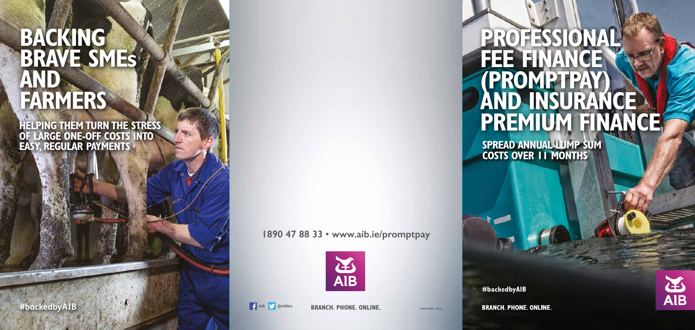## **PROFESSIONAL FEE FINANCE (PROMPTPAY) AND INSURANCE PREMIUM FINANCE SPREAD ANNUAL LUMP SUM**



**#backedbyAIB**

**BRANCH. PHONE. ONLINE.** 



AIBM/CBB54 09/16

# **BACKING BRAVE SMEs AND FARMERS**

**1890 47 88 33** • **www.aib.ie/promptpay**





**#backedbyAIB AIB AIB AIB AIB AIB AIB AIB AIB AIB AIB AIB AIB AIB AIB AIB AIB AIB AIB** 

**HELPING THEM TURN THE STRESS OF LARGE ONE-OFF COSTS INTO EASY, REGULAR PAYMENTS**

**BRANCH. PHONE. ONLINE.**